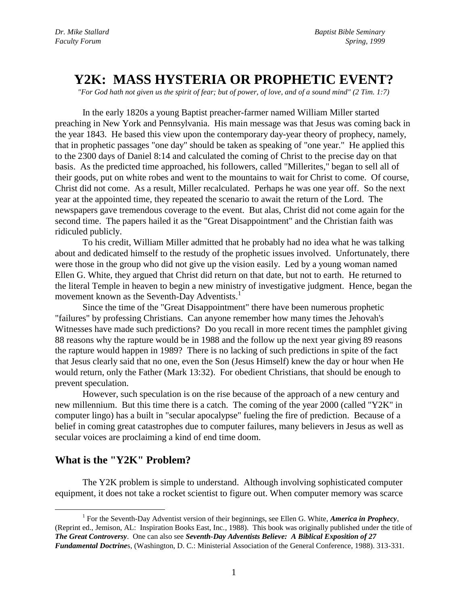# **Y2K: MASS HYSTERIA OR PROPHETIC EVENT?**

*"For God hath not given us the spirit of fear; but of power, of love, and of a sound mind" (2 Tim. 1:7)*

In the early 1820s a young Baptist preacher-farmer named William Miller started preaching in New York and Pennsylvania. His main message was that Jesus was coming back in the year 1843. He based this view upon the contemporary day-year theory of prophecy, namely, that in prophetic passages "one day" should be taken as speaking of "one year." He applied this to the 2300 days of Daniel 8:14 and calculated the coming of Christ to the precise day on that basis. As the predicted time approached, his followers, called "Millerites," began to sell all of their goods, put on white robes and went to the mountains to wait for Christ to come. Of course, Christ did not come. As a result, Miller recalculated. Perhaps he was one year off. So the next year at the appointed time, they repeated the scenario to await the return of the Lord. The newspapers gave tremendous coverage to the event. But alas, Christ did not come again for the second time. The papers hailed it as the "Great Disappointment" and the Christian faith was ridiculed publicly.

To his credit, William Miller admitted that he probably had no idea what he was talking about and dedicated himself to the restudy of the prophetic issues involved. Unfortunately, there were those in the group who did not give up the vision easily. Led by a young woman named Ellen G. White, they argued that Christ did return on that date, but not to earth. He returned to the literal Temple in heaven to begin a new ministry of investigative judgment. Hence, began the movement known as the Seventh-Day Adventists.<sup>1</sup>

Since the time of the "Great Disappointment" there have been numerous prophetic "failures" by professing Christians. Can anyone remember how many times the Jehovah's Witnesses have made such predictions? Do you recall in more recent times the pamphlet giving 88 reasons why the rapture would be in 1988 and the follow up the next year giving 89 reasons the rapture would happen in 1989? There is no lacking of such predictions in spite of the fact that Jesus clearly said that no one, even the Son (Jesus Himself) knew the day or hour when He would return, only the Father (Mark 13:32). For obedient Christians, that should be enough to prevent speculation.

However, such speculation is on the rise because of the approach of a new century and new millennium. But this time there is a catch. The coming of the year 2000 (called "Y2K" in computer lingo) has a built in "secular apocalypse" fueling the fire of prediction. Because of a belief in coming great catastrophes due to computer failures, many believers in Jesus as well as secular voices are proclaiming a kind of end time doom.

# **What is the "Y2K" Problem?**

 $\overline{a}$ 

The Y2K problem is simple to understand. Although involving sophisticated computer equipment, it does not take a rocket scientist to figure out. When computer memory was scarce

<sup>&</sup>lt;sup>1</sup> For the Seventh-Day Adventist version of their beginnings, see Ellen G. White, *America in Prophecy*, (Reprint ed., Jemison, AL: Inspiration Books East, Inc., 1988). This book was originally published under the title of *The Great Controversy*. One can also see *Seventh-Day Adventists Believe: A Biblical Exposition of 27 Fundamental Doctrine*s, (Washington, D. C.: Ministerial Association of the General Conference, 1988). 313-331.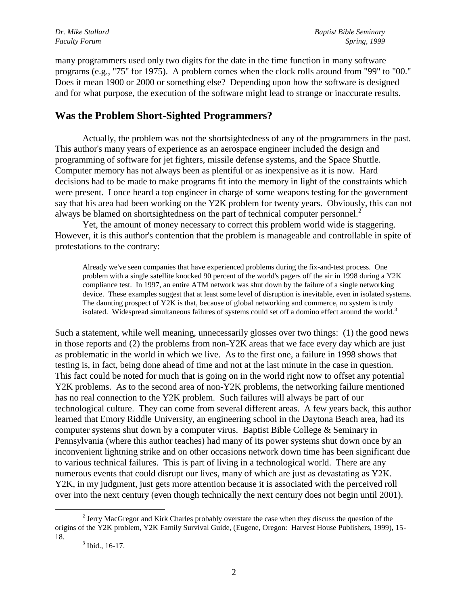many programmers used only two digits for the date in the time function in many software programs (e.g., "75" for 1975). A problem comes when the clock rolls around from "99" to "00." Does it mean 1900 or 2000 or something else? Depending upon how the software is designed and for what purpose, the execution of the software might lead to strange or inaccurate results.

### **Was the Problem Short-Sighted Programmers?**

Actually, the problem was not the shortsightedness of any of the programmers in the past. This author's many years of experience as an aerospace engineer included the design and programming of software for jet fighters, missile defense systems, and the Space Shuttle. Computer memory has not always been as plentiful or as inexpensive as it is now. Hard decisions had to be made to make programs fit into the memory in light of the constraints which were present. I once heard a top engineer in charge of some weapons testing for the government say that his area had been working on the Y2K problem for twenty years. Obviously, this can not always be blamed on shortsightedness on the part of technical computer personnel.<sup>2</sup>

Yet, the amount of money necessary to correct this problem world wide is staggering. However, it is this author's contention that the problem is manageable and controllable in spite of protestations to the contrary:

Already we've seen companies that have experienced problems during the fix-and-test process. One problem with a single satellite knocked 90 percent of the world's pagers off the air in 1998 during a Y2K compliance test. In 1997, an entire ATM network was shut down by the failure of a single networking device. These examples suggest that at least some level of disruption is inevitable, even in isolated systems. The daunting prospect of Y2K is that, because of global networking and commerce, no system is truly isolated. Widespread simultaneous failures of systems could set off a domino effect around the world.<sup>3</sup>

Such a statement, while well meaning, unnecessarily glosses over two things: (1) the good news in those reports and (2) the problems from non-Y2K areas that we face every day which are just as problematic in the world in which we live. As to the first one, a failure in 1998 shows that testing is, in fact, being done ahead of time and not at the last minute in the case in question. This fact could be noted for much that is going on in the world right now to offset any potential Y2K problems. As to the second area of non-Y2K problems, the networking failure mentioned has no real connection to the Y2K problem. Such failures will always be part of our technological culture. They can come from several different areas. A few years back, this author learned that Emory Riddle University, an engineering school in the Daytona Beach area, had its computer systems shut down by a computer virus. Baptist Bible College & Seminary in Pennsylvania (where this author teaches) had many of its power systems shut down once by an inconvenient lightning strike and on other occasions network down time has been significant due to various technical failures. This is part of living in a technological world. There are any numerous events that could disrupt our lives, many of which are just as devastating as Y2K. Y2K, in my judgment, just gets more attention because it is associated with the perceived roll over into the next century (even though technically the next century does not begin until 2001).

 $2^{2}$  Jerry MacGregor and Kirk Charles probably overstate the case when they discuss the question of the origins of the Y2K problem, Y2K Family Survival Guide, (Eugene, Oregon: Harvest House Publishers, 1999), 15- 18.

 $3$  Ibid., 16-17.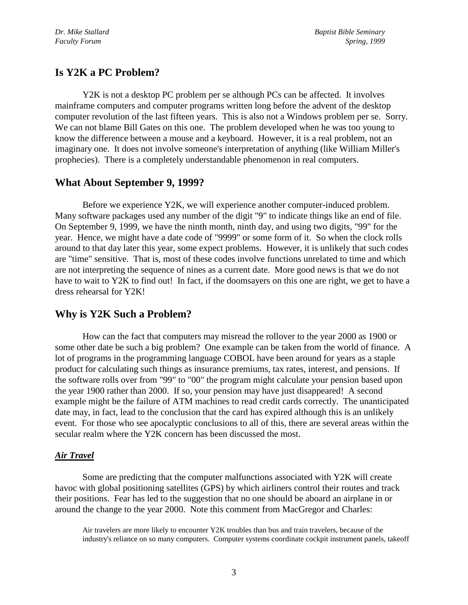# **Is Y2K a PC Problem?**

Y2K is not a desktop PC problem per se although PCs can be affected. It involves mainframe computers and computer programs written long before the advent of the desktop computer revolution of the last fifteen years. This is also not a Windows problem per se. Sorry. We can not blame Bill Gates on this one. The problem developed when he was too young to know the difference between a mouse and a keyboard. However, it is a real problem, not an imaginary one. It does not involve someone's interpretation of anything (like William Miller's prophecies). There is a completely understandable phenomenon in real computers.

# **What About September 9, 1999?**

Before we experience Y2K, we will experience another computer-induced problem. Many software packages used any number of the digit "9" to indicate things like an end of file. On September 9, 1999, we have the ninth month, ninth day, and using two digits, "99" for the year. Hence, we might have a date code of "9999" or some form of it. So when the clock rolls around to that day later this year, some expect problems. However, it is unlikely that such codes are "time" sensitive. That is, most of these codes involve functions unrelated to time and which are not interpreting the sequence of nines as a current date. More good news is that we do not have to wait to Y2K to find out! In fact, if the doomsayers on this one are right, we get to have a dress rehearsal for Y2K!

# **Why is Y2K Such a Problem?**

How can the fact that computers may misread the rollover to the year 2000 as 1900 or some other date be such a big problem? One example can be taken from the world of finance. A lot of programs in the programming language COBOL have been around for years as a staple product for calculating such things as insurance premiums, tax rates, interest, and pensions. If the software rolls over from "99" to "00" the program might calculate your pension based upon the year 1900 rather than 2000. If so, your pension may have just disappeared! A second example might be the failure of ATM machines to read credit cards correctly. The unanticipated date may, in fact, lead to the conclusion that the card has expired although this is an unlikely event. For those who see apocalyptic conclusions to all of this, there are several areas within the secular realm where the Y2K concern has been discussed the most.

# *Air Travel*

Some are predicting that the computer malfunctions associated with Y2K will create havoc with global positioning satellites (GPS) by which airliners control their routes and track their positions. Fear has led to the suggestion that no one should be aboard an airplane in or around the change to the year 2000. Note this comment from MacGregor and Charles:

Air travelers are more likely to encounter Y2K troubles than bus and train travelers, because of the industry's reliance on so many computers. Computer systems coordinate cockpit instrument panels, takeoff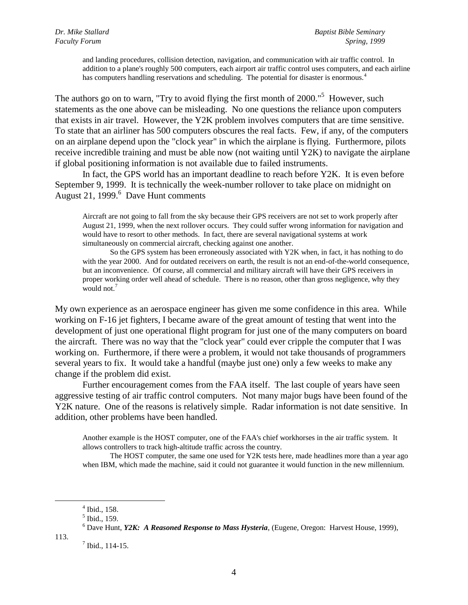and landing procedures, collision detection, navigation, and communication with air traffic control. In addition to a plane's roughly 500 computers, each airport air traffic control uses computers, and each airline has computers handling reservations and scheduling. The potential for disaster is enormous.<sup>4</sup>

The authors go on to warn, "Try to avoid flying the first month of  $2000$ ."<sup>5</sup> However, such statements as the one above can be misleading. No one questions the reliance upon computers that exists in air travel. However, the Y2K problem involves computers that are time sensitive. To state that an airliner has 500 computers obscures the real facts. Few, if any, of the computers on an airplane depend upon the "clock year" in which the airplane is flying. Furthermore, pilots receive incredible training and must be able now (not waiting until Y2K) to navigate the airplane if global positioning information is not available due to failed instruments.

In fact, the GPS world has an important deadline to reach before Y2K. It is even before September 9, 1999. It is technically the week-number rollover to take place on midnight on August 21, 1999.<sup>6</sup> Dave Hunt comments

Aircraft are not going to fall from the sky because their GPS receivers are not set to work properly after August 21, 1999, when the next rollover occurs. They could suffer wrong information for navigation and would have to resort to other methods. In fact, there are several navigational systems at work simultaneously on commercial aircraft, checking against one another.

So the GPS system has been erroneously associated with Y2K when, in fact, it has nothing to do with the year 2000. And for outdated receivers on earth, the result is not an end-of-the-world consequence, but an inconvenience. Of course, all commercial and military aircraft will have their GPS receivers in proper working order well ahead of schedule. There is no reason, other than gross negligence, why they would not.<sup>7</sup>

My own experience as an aerospace engineer has given me some confidence in this area. While working on F-16 jet fighters, I became aware of the great amount of testing that went into the development of just one operational flight program for just one of the many computers on board the aircraft. There was no way that the "clock year" could ever cripple the computer that I was working on. Furthermore, if there were a problem, it would not take thousands of programmers several years to fix. It would take a handful (maybe just one) only a few weeks to make any change if the problem did exist.

Further encouragement comes from the FAA itself. The last couple of years have seen aggressive testing of air traffic control computers. Not many major bugs have been found of the Y2K nature. One of the reasons is relatively simple. Radar information is not date sensitive. In addition, other problems have been handled.

Another example is the HOST computer, one of the FAA's chief workhorses in the air traffic system. It allows controllers to track high-altitude traffic across the country.

The HOST computer, the same one used for Y2K tests here, made headlines more than a year ago when IBM, which made the machine, said it could not guarantee it would function in the new millennium.

113.

<sup>4</sup> Ibid., 158.

<sup>5</sup> Ibid., 159.

<sup>6</sup> Dave Hunt, *Y2K: A Reasoned Response to Mass Hysteria*, (Eugene, Oregon: Harvest House, 1999),

 $<sup>7</sup>$  Ibid., 114-15.</sup>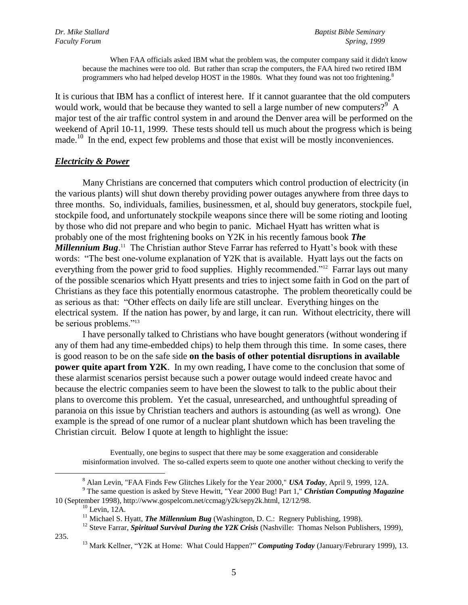When FAA officials asked IBM what the problem was, the computer company said it didn't know because the machines were too old. But rather than scrap the computers, the FAA hired two retired IBM programmers who had helped develop HOST in the 1980s. What they found was not too frightening.<sup>8</sup>

It is curious that IBM has a conflict of interest here. If it cannot guarantee that the old computers would work, would that be because they wanted to sell a large number of new computers?<sup>9</sup> A major test of the air traffic control system in and around the Denver area will be performed on the weekend of April 10-11, 1999. These tests should tell us much about the progress which is being made.<sup>10</sup> In the end, expect few problems and those that exist will be mostly inconveniences.

#### *Electricity & Power*

Many Christians are concerned that computers which control production of electricity (in the various plants) will shut down thereby providing power outages anywhere from three days to three months. So, individuals, families, businessmen, et al, should buy generators, stockpile fuel, stockpile food, and unfortunately stockpile weapons since there will be some rioting and looting by those who did not prepare and who begin to panic. Michael Hyatt has written what is probably one of the most frightening books on Y2K in his recently famous book *The Millennium Bug*.<sup>11</sup> The Christian author Steve Farrar has referred to Hyatt's book with these words: "The best one-volume explanation of Y2K that is available. Hyatt lays out the facts on everything from the power grid to food supplies. Highly recommended."<sup>12</sup> Farrar lays out many of the possible scenarios which Hyatt presents and tries to inject some faith in God on the part of Christians as they face this potentially enormous catastrophe. The problem theoretically could be as serious as that: "Other effects on daily life are still unclear. Everything hinges on the electrical system. If the nation has power, by and large, it can run. Without electricity, there will be serious problems."<sup>13</sup>

I have personally talked to Christians who have bought generators (without wondering if any of them had any time-embedded chips) to help them through this time. In some cases, there is good reason to be on the safe side **on the basis of other potential disruptions in available power quite apart from Y2K**. In my own reading, I have come to the conclusion that some of these alarmist scenarios persist because such a power outage would indeed create havoc and because the electric companies seem to have been the slowest to talk to the public about their plans to overcome this problem. Yet the casual, unresearched, and unthoughtful spreading of paranoia on this issue by Christian teachers and authors is astounding (as well as wrong). One example is the spread of one rumor of a nuclear plant shutdown which has been traveling the Christian circuit. Below I quote at length to highlight the issue:

Eventually, one begins to suspect that there may be some exaggeration and considerable misinformation involved. The so-called experts seem to quote one another without checking to verify the

<sup>9</sup> The same question is asked by Steve Hewitt, "Year 2000 Bug! Part 1," *Christian Computing Magazine* 10 (September 1998), http://www.gospelcom.net/ccmag/y2k/sepy2k.html, 12/12/98.

 $10$  Levin, 12A.

235.

<sup>8</sup> Alan Levin, "FAA Finds Few Glitches Likely for the Year 2000," *USA Today*, April 9, 1999, 12A.

<sup>&</sup>lt;sup>11</sup> Michael S. Hyatt, *The Millennium Bug* (Washington, D. C.: Regnery Publishing, 1998).

<sup>&</sup>lt;sup>12</sup> Steve Farrar, *Spiritual Survival During the Y2K Crisis* (Nashville: Thomas Nelson Publishers, 1999),

<sup>&</sup>lt;sup>13</sup> Mark Kellner, "Y2K at Home: What Could Happen?" *Computing Today* (January/Februrary 1999), 13.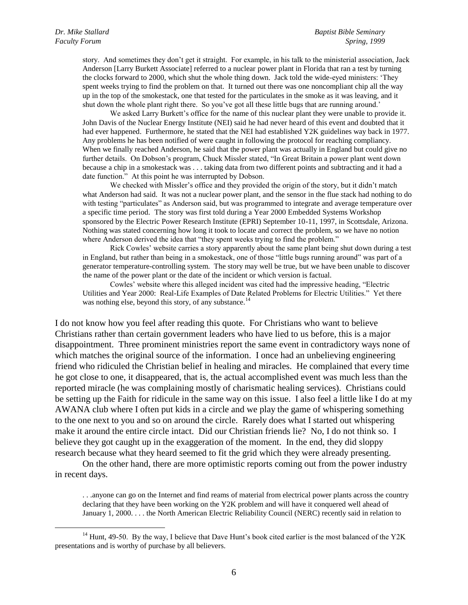story. And sometimes they don"t get it straight. For example, in his talk to the ministerial association, Jack Anderson [Larry Burkett Associate] referred to a nuclear power plant in Florida that ran a test by turning the clocks forward to 2000, which shut the whole thing down. Jack told the wide-eyed ministers: "They spent weeks trying to find the problem on that. It turned out there was one noncompliant chip all the way up in the top of the smokestack, one that tested for the particulates in the smoke as it was leaving, and it shut down the whole plant right there. So you've got all these little bugs that are running around."

We asked Larry Burkett's office for the name of this nuclear plant they were unable to provide it. John Davis of the Nuclear Energy Institute (NEI) said he had never heard of this event and doubted that it had ever happened. Furthermore, he stated that the NEI had established Y2K guidelines way back in 1977. Any problems he has been notified of were caught in following the protocol for reaching compliancy. When we finally reached Anderson, he said that the power plant was actually in England but could give no further details. On Dobson"s program, Chuck Missler stated, "In Great Britain a power plant went down because a chip in a smokestack was . . . taking data from two different points and subtracting and it had a date function." At this point he was interrupted by Dobson.

We checked with Missler's office and they provided the origin of the story, but it didn't match what Anderson had said. It was not a nuclear power plant, and the sensor in the flue stack had nothing to do with testing "particulates" as Anderson said, but was programmed to integrate and average temperature over a specific time period. The story was first told during a Year 2000 Embedded Systems Workshop sponsored by the Electric Power Research Institute (EPRI) September 10-11, 1997, in Scottsdale, Arizona. Nothing was stated concerning how long it took to locate and correct the problem, so we have no notion where Anderson derived the idea that "they spent weeks trying to find the problem."

Rick Cowles" website carries a story apparently about the same plant being shut down during a test in England, but rather than being in a smokestack, one of those "little bugs running around" was part of a generator temperature-controlling system. The story may well be true, but we have been unable to discover the name of the power plant or the date of the incident or which version is factual.

Cowles" website where this alleged incident was cited had the impressive heading, "Electric Utilities and Year 2000: Real-Life Examples of Date Related Problems for Electric Utilities." Yet there was nothing else, beyond this story, of any substance.<sup>14</sup>

I do not know how you feel after reading this quote. For Christians who want to believe Christians rather than certain government leaders who have lied to us before, this is a major disappointment. Three prominent ministries report the same event in contradictory ways none of which matches the original source of the information. I once had an unbelieving engineering friend who ridiculed the Christian belief in healing and miracles. He complained that every time he got close to one, it disappeared, that is, the actual accomplished event was much less than the reported miracle (he was complaining mostly of charismatic healing services). Christians could be setting up the Faith for ridicule in the same way on this issue. I also feel a little like I do at my AWANA club where I often put kids in a circle and we play the game of whispering something to the one next to you and so on around the circle. Rarely does what I started out whispering make it around the entire circle intact. Did our Christian friends lie? No, I do not think so. I believe they got caught up in the exaggeration of the moment. In the end, they did sloppy research because what they heard seemed to fit the grid which they were already presenting.

On the other hand, there are more optimistic reports coming out from the power industry in recent days.

. . .anyone can go on the Internet and find reams of material from electrical power plants across the country declaring that they have been working on the Y2K problem and will have it conquered well ahead of January 1, 2000. . . . the North American Electric Reliability Council (NERC) recently said in relation to

<sup>&</sup>lt;sup>14</sup> Hunt, 49-50. By the way, I believe that Dave Hunt's book cited earlier is the most balanced of the Y2K presentations and is worthy of purchase by all believers.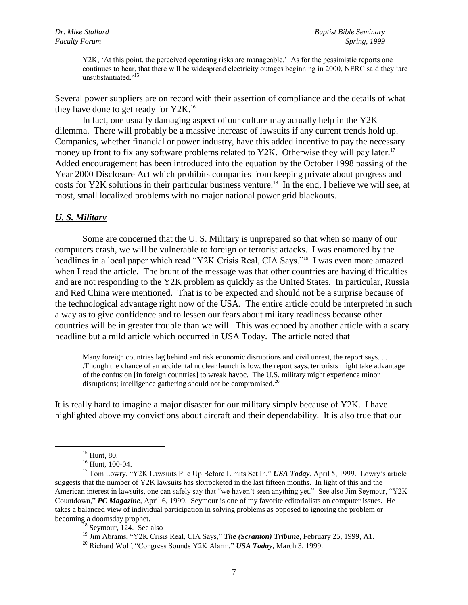Y2K, 'At this point, the perceived operating risks are manageable.' As for the pessimistic reports one continues to hear, that there will be widespread electricity outages beginning in 2000, NERC said they "are unsubstantiated<sup>,15</sup>

Several power suppliers are on record with their assertion of compliance and the details of what they have done to get ready for Y2K.<sup>16</sup>

In fact, one usually damaging aspect of our culture may actually help in the Y2K dilemma. There will probably be a massive increase of lawsuits if any current trends hold up. Companies, whether financial or power industry, have this added incentive to pay the necessary money up front to fix any software problems related to Y2K. Otherwise they will pay later.<sup>17</sup> Added encouragement has been introduced into the equation by the October 1998 passing of the Year 2000 Disclosure Act which prohibits companies from keeping private about progress and costs for Y2K solutions in their particular business venture.<sup>18</sup> In the end, I believe we will see, at most, small localized problems with no major national power grid blackouts.

#### *U. S. Military*

Some are concerned that the U. S. Military is unprepared so that when so many of our computers crash, we will be vulnerable to foreign or terrorist attacks. I was enamored by the headlines in a local paper which read "Y2K Crisis Real, CIA Says."<sup>19</sup> I was even more amazed when I read the article. The brunt of the message was that other countries are having difficulties and are not responding to the Y2K problem as quickly as the United States. In particular, Russia and Red China were mentioned. That is to be expected and should not be a surprise because of the technological advantage right now of the USA. The entire article could be interpreted in such a way as to give confidence and to lessen our fears about military readiness because other countries will be in greater trouble than we will. This was echoed by another article with a scary headline but a mild article which occurred in USA Today. The article noted that

Many foreign countries lag behind and risk economic disruptions and civil unrest, the report says... .Though the chance of an accidental nuclear launch is low, the report says, terrorists might take advantage of the confusion [in foreign countries] to wreak havoc. The U.S. military might experience minor disruptions; intelligence gathering should not be compromised. $^{20}$ 

It is really hard to imagine a major disaster for our military simply because of Y2K. I have highlighted above my convictions about aircraft and their dependability. It is also true that our

 $15$  Hunt, 80.

<sup>16</sup> Hunt, 100-04.

<sup>17</sup> Tom Lowry, "Y2K Lawsuits Pile Up Before Limits Set In," *USA Today*, April 5, 1999. Lowry"s article suggests that the number of Y2K lawsuits has skyrocketed in the last fifteen months. In light of this and the American interest in lawsuits, one can safely say that "we haven't seen anything yet." See also Jim Seymour, "Y2K Countdown," *PC Magazine*, April 6, 1999. Seymour is one of my favorite editorialists on computer issues. He takes a balanced view of individual participation in solving problems as opposed to ignoring the problem or becoming a doomsday prophet.

 $18$  Seymour, 124. See also

<sup>&</sup>lt;sup>19</sup> Jim Abrams, "Y2K Crisis Real, CIA Says," **The (Scranton) Tribune**, February 25, 1999, A1.

<sup>20</sup> Richard Wolf, "Congress Sounds Y2K Alarm," *USA Today*, March 3, 1999.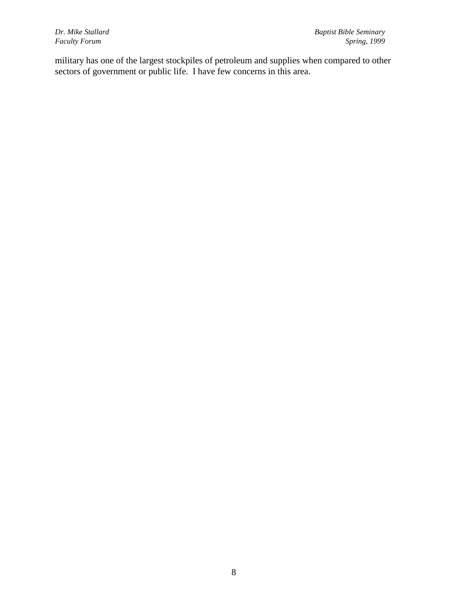$Faculty$  *Forum* 

military has one of the largest stockpiles of petroleum and supplies when compared to other sectors of government or public life. I have few concerns in this area.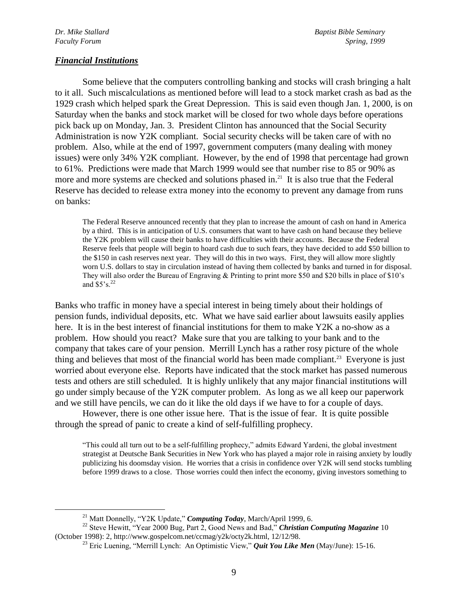#### *Financial Institutions*

Some believe that the computers controlling banking and stocks will crash bringing a halt to it all. Such miscalculations as mentioned before will lead to a stock market crash as bad as the 1929 crash which helped spark the Great Depression. This is said even though Jan. 1, 2000, is on Saturday when the banks and stock market will be closed for two whole days before operations pick back up on Monday, Jan. 3. President Clinton has announced that the Social Security Administration is now Y2K compliant. Social security checks will be taken care of with no problem. Also, while at the end of 1997, government computers (many dealing with money issues) were only 34% Y2K compliant. However, by the end of 1998 that percentage had grown to 61%. Predictions were made that March 1999 would see that number rise to 85 or 90% as more and more systems are checked and solutions phased in.<sup>21</sup> It is also true that the Federal Reserve has decided to release extra money into the economy to prevent any damage from runs on banks:

The Federal Reserve announced recently that they plan to increase the amount of cash on hand in America by a third. This is in anticipation of U.S. consumers that want to have cash on hand because they believe the Y2K problem will cause their banks to have difficulties with their accounts. Because the Federal Reserve feels that people will begin to hoard cash due to such fears, they have decided to add \$50 billion to the \$150 in cash reserves next year. They will do this in two ways. First, they will allow more slightly worn U.S. dollars to stay in circulation instead of having them collected by banks and turned in for disposal. They will also order the Bureau of Engraving & Printing to print more \$50 and \$20 bills in place of \$10"s and  $$5's.<sup>22</sup>$ 

Banks who traffic in money have a special interest in being timely about their holdings of pension funds, individual deposits, etc. What we have said earlier about lawsuits easily applies here. It is in the best interest of financial institutions for them to make Y2K a no-show as a problem. How should you react? Make sure that you are talking to your bank and to the company that takes care of your pension. Merrill Lynch has a rather rosy picture of the whole thing and believes that most of the financial world has been made compliant.<sup>23</sup> Everyone is just worried about everyone else. Reports have indicated that the stock market has passed numerous tests and others are still scheduled. It is highly unlikely that any major financial institutions will go under simply because of the Y2K computer problem. As long as we all keep our paperwork and we still have pencils, we can do it like the old days if we have to for a couple of days.

However, there is one other issue here. That is the issue of fear. It is quite possible through the spread of panic to create a kind of self-fulfilling prophecy.

"This could all turn out to be a self-fulfilling prophecy," admits Edward Yardeni, the global investment strategist at Deutsche Bank Securities in New York who has played a major role in raising anxiety by loudly publicizing his doomsday vision. He worries that a crisis in confidence over Y2K will send stocks tumbling before 1999 draws to a close. Those worries could then infect the economy, giving investors something to

<sup>21</sup> Matt Donnelly, "Y2K Update," *Computing Today*, March/April 1999, 6.

<sup>&</sup>lt;sup>22</sup> Steve Hewitt, "Year 2000 Bug, Part 2, Good News and Bad," *Christian Computing Magazine* 10 (October 1998): 2, http://www.gospelcom.net/ccmag/y2k/octy2k.html, 12/12/98.

<sup>&</sup>lt;sup>23</sup> Eric Luening, "Merrill Lynch: An Optimistic View," *Quit You Like Men* (May/June): 15-16.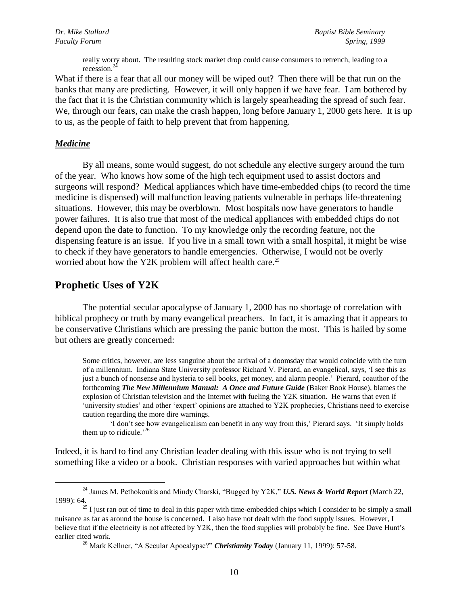really worry about. The resulting stock market drop could cause consumers to retrench, leading to a recession.<sup>24</sup>

What if there is a fear that all our money will be wiped out? Then there will be that run on the banks that many are predicting. However, it will only happen if we have fear. I am bothered by the fact that it is the Christian community which is largely spearheading the spread of such fear. We, through our fears, can make the crash happen, long before January 1, 2000 gets here. It is up to us, as the people of faith to help prevent that from happening.

#### *Medicine*

 $\overline{a}$ 

By all means, some would suggest, do not schedule any elective surgery around the turn of the year. Who knows how some of the high tech equipment used to assist doctors and surgeons will respond? Medical appliances which have time-embedded chips (to record the time medicine is dispensed) will malfunction leaving patients vulnerable in perhaps life-threatening situations. However, this may be overblown. Most hospitals now have generators to handle power failures. It is also true that most of the medical appliances with embedded chips do not depend upon the date to function. To my knowledge only the recording feature, not the dispensing feature is an issue. If you live in a small town with a small hospital, it might be wise to check if they have generators to handle emergencies. Otherwise, I would not be overly worried about how the Y2K problem will affect health care.<sup>25</sup>

# **Prophetic Uses of Y2K**

The potential secular apocalypse of January 1, 2000 has no shortage of correlation with biblical prophecy or truth by many evangelical preachers. In fact, it is amazing that it appears to be conservative Christians which are pressing the panic button the most. This is hailed by some but others are greatly concerned:

Some critics, however, are less sanguine about the arrival of a doomsday that would coincide with the turn of a millennium. Indiana State University professor Richard V. Pierard, an evangelical, says, "I see this as just a bunch of nonsense and hysteria to sell books, get money, and alarm people." Pierard, coauthor of the forthcoming *The New Millennium Manual: A Once and Future Guide* (Baker Book House), blames the explosion of Christian television and the Internet with fueling the Y2K situation. He warns that even if "university studies" and other "expert" opinions are attached to Y2K prophecies, Christians need to exercise caution regarding the more dire warnings.

'I don't see how evangelicalism can benefit in any way from this,' Pierard says. 'It simply holds them up to ridicule.<sup> $26$ </sup>

Indeed, it is hard to find any Christian leader dealing with this issue who is not trying to sell something like a video or a book. Christian responses with varied approaches but within what

<sup>24</sup> James M. Pethokoukis and Mindy Charski, "Bugged by Y2K," *U.S. News & World Report* (March 22, 1999): 64.

 $^{25}$  I just ran out of time to deal in this paper with time-embedded chips which I consider to be simply a small nuisance as far as around the house is concerned. I also have not dealt with the food supply issues. However, I believe that if the electricity is not affected by Y2K, then the food supplies will probably be fine. See Dave Hunt's earlier cited work.

<sup>26</sup> Mark Kellner, "A Secular Apocalypse?" *Christianity Today* (January 11, 1999): 57-58.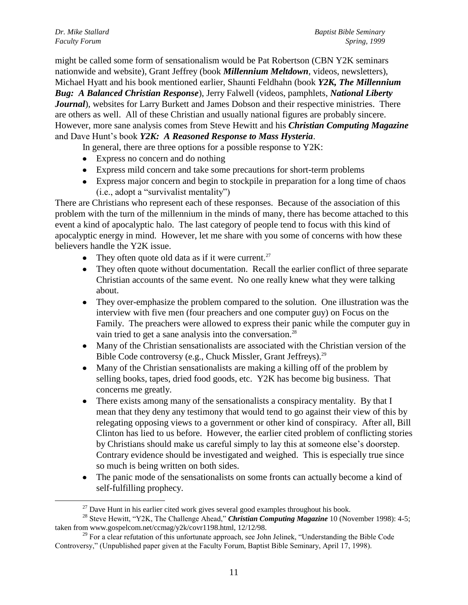might be called some form of sensationalism would be Pat Robertson (CBN Y2K seminars nationwide and website), Grant Jeffrey (book *Millennium Meltdown*, videos, newsletters), Michael Hyatt and his book mentioned earlier, Shaunti Feldhahn (book *Y2K, The Millennium Bug: A Balanced Christian Response*), Jerry Falwell (videos, pamphlets, *National Liberty Journal*), websites for Larry Burkett and James Dobson and their respective ministries. There are others as well. All of these Christian and usually national figures are probably sincere. However, more sane analysis comes from Steve Hewitt and his *Christian Computing Magazine* and Dave Hunt"s book *Y2K: A Reasoned Response to Mass Hysteria*.

In general, there are three options for a possible response to Y2K:

- Express no concern and do nothing
- Express mild concern and take some precautions for short-term problems
- Express major concern and begin to stockpile in preparation for a long time of chaos (i.e., adopt a "survivalist mentality")

There are Christians who represent each of these responses. Because of the association of this problem with the turn of the millennium in the minds of many, there has become attached to this event a kind of apocalyptic halo. The last category of people tend to focus with this kind of apocalyptic energy in mind. However, let me share with you some of concerns with how these believers handle the Y2K issue.

- They often quote old data as if it were current.<sup>27</sup>
- They often quote without documentation. Recall the earlier conflict of three separate Christian accounts of the same event. No one really knew what they were talking about.
- They over-emphasize the problem compared to the solution. One illustration was the interview with five men (four preachers and one computer guy) on Focus on the Family. The preachers were allowed to express their panic while the computer guy in vain tried to get a sane analysis into the conversation.<sup>28</sup>
- Many of the Christian sensationalists are associated with the Christian version of the Bible Code controversy (e.g., Chuck Missler, Grant Jeffreys).<sup>29</sup>
- Many of the Christian sensationalists are making a killing off of the problem by selling books, tapes, dried food goods, etc. Y2K has become big business. That concerns me greatly.
- There exists among many of the sensationalists a conspiracy mentality. By that I mean that they deny any testimony that would tend to go against their view of this by relegating opposing views to a government or other kind of conspiracy. After all, Bill Clinton has lied to us before. However, the earlier cited problem of conflicting stories by Christians should make us careful simply to lay this at someone else"s doorstep. Contrary evidence should be investigated and weighed. This is especially true since so much is being written on both sides.
- The panic mode of the sensationalists on some fronts can actually become a kind of self-fulfilling prophecy.

 $^{27}$  Dave Hunt in his earlier cited work gives several good examples throughout his book.

<sup>&</sup>lt;sup>28</sup> Steve Hewitt, "Y2K, The Challenge Ahead," *Christian Computing Magazine* 10 (November 1998): 4-5; taken from www.gospelcom.net/ccmag/y2k/covr1198.html, 12/12/98.

<sup>&</sup>lt;sup>29</sup> For a clear refutation of this unfortunate approach, see John Jelinek, "Understanding the Bible Code Controversy," (Unpublished paper given at the Faculty Forum, Baptist Bible Seminary, April 17, 1998).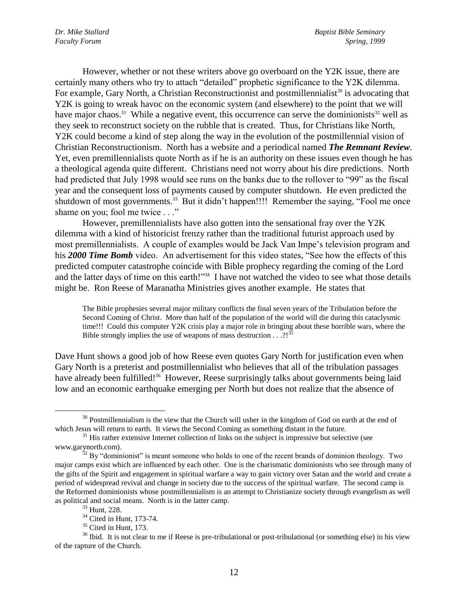However, whether or not these writers above go overboard on the Y2K issue, there are certainly many others who try to attach "detailed" prophetic significance to the Y2K dilemma. For example, Gary North, a Christian Reconstructionist and postmillennialist<sup>30</sup> is advocating that Y2K is going to wreak havoc on the economic system (and elsewhere) to the point that we will have major chaos.<sup>31</sup> While a negative event, this occurrence can serve the dominionists<sup>32</sup> well as they seek to reconstruct society on the rubble that is created. Thus, for Christians like North, Y2K could become a kind of step along the way in the evolution of the postmillennial vision of Christian Reconstructionism. North has a website and a periodical named *The Remnant Review*. Yet, even premillennialists quote North as if he is an authority on these issues even though he has a theological agenda quite different. Christians need not worry about his dire predictions. North had predicted that July 1998 would see runs on the banks due to the rollover to "99" as the fiscal year and the consequent loss of payments caused by computer shutdown. He even predicted the shutdown of most governments.<sup>33</sup> But it didn't happen!!!! Remember the saying, "Fool me once shame on you; fool me twice . . ."

However, premillennialists have also gotten into the sensational fray over the Y2K dilemma with a kind of historicist frenzy rather than the traditional futurist approach used by most premillennialists. A couple of examples would be Jack Van Impe"s television program and his *2000 Time Bomb* video. An advertisement for this video states, "See how the effects of this predicted computer catastrophe coincide with Bible prophecy regarding the coming of the Lord and the latter days of time on this earth!"<sup>34</sup> I have not watched the video to see what those details might be. Ron Reese of Maranatha Ministries gives another example. He states that

The Bible prophesies several major military conflicts the final seven years of the Tribulation before the Second Coming of Christ. More than half of the population of the world will die during this cataclysmic time!!! Could this computer Y2K crisis play a major role in bringing about these horrible wars, where the Bible strongly implies the use of weapons of mass destruction  $\dots$ ?!<sup>35</sup>

Dave Hunt shows a good job of how Reese even quotes Gary North for justification even when Gary North is a preterist and postmillennialist who believes that all of the tribulation passages have already been fulfilled!<sup>36</sup> However, Reese surprisingly talks about governments being laid low and an economic earthquake emerging per North but does not realize that the absence of

 $30$  Postmillennialism is the view that the Church will usher in the kingdom of God on earth at the end of which Jesus will return to earth. It views the Second Coming as something distant in the future.

<sup>&</sup>lt;sup>31</sup> His rather extensive Internet collection of links on the subject is impressive but selective (see www.garynorth.com).

 $32$  By "dominionist" is meant someone who holds to one of the recent brands of dominion theology. Two major camps exist which are influenced by each other. One is the charismatic dominionists who see through many of the gifts of the Spirit and engagement in spiritual warfare a way to gain victory over Satan and the world and create a period of widespread revival and change in society due to the success of the spiritual warfare. The second camp is the Reformed dominionists whose postmillennialism is an attempt to Christianize society through evangelism as well as political and social means. North is in the latter camp.

<sup>33</sup> Hunt, 228.

<sup>34</sup> Cited in Hunt, 173-74.

<sup>&</sup>lt;sup>35</sup> Cited in Hunt, 173.

 $36$  Ibid. It is not clear to me if Reese is pre-tribulational or post-tribulational (or something else) in his view of the rapture of the Church.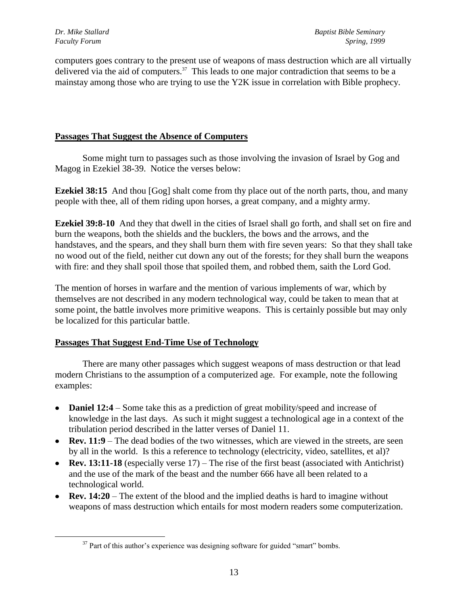computers goes contrary to the present use of weapons of mass destruction which are all virtually delivered via the aid of computers.<sup>37</sup> This leads to one major contradiction that seems to be a mainstay among those who are trying to use the Y2K issue in correlation with Bible prophecy.

### **Passages That Suggest the Absence of Computers**

Some might turn to passages such as those involving the invasion of Israel by Gog and Magog in Ezekiel 38-39. Notice the verses below:

**Ezekiel 38:15** And thou [Gog] shalt come from thy place out of the north parts, thou, and many people with thee, all of them riding upon horses, a great company, and a mighty army.

**Ezekiel 39:8-10** And they that dwell in the cities of Israel shall go forth, and shall set on fire and burn the weapons, both the shields and the bucklers, the bows and the arrows, and the handstaves, and the spears, and they shall burn them with fire seven years: So that they shall take no wood out of the field, neither cut down any out of the forests; for they shall burn the weapons with fire: and they shall spoil those that spoiled them, and robbed them, saith the Lord God.

The mention of horses in warfare and the mention of various implements of war, which by themselves are not described in any modern technological way, could be taken to mean that at some point, the battle involves more primitive weapons. This is certainly possible but may only be localized for this particular battle.

# **Passages That Suggest End-Time Use of Technology**

There are many other passages which suggest weapons of mass destruction or that lead modern Christians to the assumption of a computerized age. For example, note the following examples:

- **Daniel 12:4** Some take this as a prediction of great mobility/speed and increase of knowledge in the last days. As such it might suggest a technological age in a context of the tribulation period described in the latter verses of Daniel 11.
- **Rev. 11:9** The dead bodies of the two witnesses, which are viewed in the streets, are seen by all in the world. Is this a reference to technology (electricity, video, satellites, et al)?
- **Rev. 13:11-18** (especially verse 17) The rise of the first beast (associated with Antichrist) and the use of the mark of the beast and the number 666 have all been related to a technological world.
- **Rev. 14:20** The extent of the blood and the implied deaths is hard to imagine without weapons of mass destruction which entails for most modern readers some computerization.

 $37$  Part of this author's experience was designing software for guided "smart" bombs.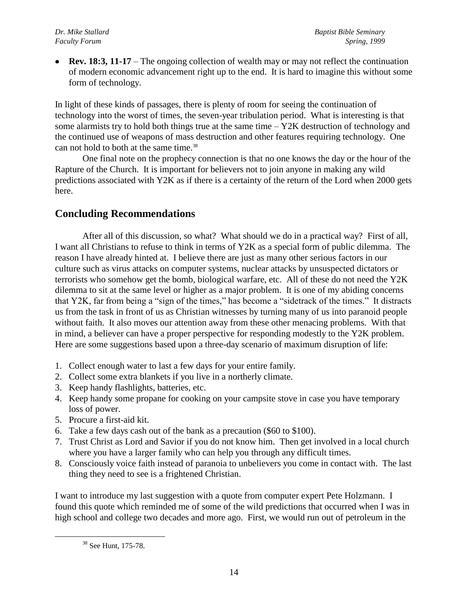**Rev. 18:3, 11-17** – The ongoing collection of wealth may or may not reflect the continuation of modern economic advancement right up to the end. It is hard to imagine this without some form of technology.

In light of these kinds of passages, there is plenty of room for seeing the continuation of technology into the worst of times, the seven-year tribulation period. What is interesting is that some alarmists try to hold both things true at the same time – Y2K destruction of technology and the continued use of weapons of mass destruction and other features requiring technology. One can not hold to both at the same time.<sup>38</sup>

One final note on the prophecy connection is that no one knows the day or the hour of the Rapture of the Church. It is important for believers not to join anyone in making any wild predictions associated with Y2K as if there is a certainty of the return of the Lord when 2000 gets here.

# **Concluding Recommendations**

After all of this discussion, so what? What should we do in a practical way? First of all, I want all Christians to refuse to think in terms of Y2K as a special form of public dilemma. The reason I have already hinted at. I believe there are just as many other serious factors in our culture such as virus attacks on computer systems, nuclear attacks by unsuspected dictators or terrorists who somehow get the bomb, biological warfare, etc. All of these do not need the Y2K dilemma to sit at the same level or higher as a major problem. It is one of my abiding concerns that Y2K, far from being a "sign of the times," has become a "sidetrack of the times." It distracts us from the task in front of us as Christian witnesses by turning many of us into paranoid people without faith. It also moves our attention away from these other menacing problems. With that in mind, a believer can have a proper perspective for responding modestly to the Y2K problem. Here are some suggestions based upon a three-day scenario of maximum disruption of life:

- 1. Collect enough water to last a few days for your entire family.
- 2. Collect some extra blankets if you live in a northerly climate.
- 3. Keep handy flashlights, batteries, etc.
- 4. Keep handy some propane for cooking on your campsite stove in case you have temporary loss of power.
- 5. Procure a first-aid kit.
- 6. Take a few days cash out of the bank as a precaution (\$60 to \$100).
- 7. Trust Christ as Lord and Savior if you do not know him. Then get involved in a local church where you have a larger family who can help you through any difficult times.
- 8. Consciously voice faith instead of paranoia to unbelievers you come in contact with. The last thing they need to see is a frightened Christian.

I want to introduce my last suggestion with a quote from computer expert Pete Holzmann. I found this quote which reminded me of some of the wild predictions that occurred when I was in high school and college two decades and more ago. First, we would run out of petroleum in the

<sup>38</sup> See Hunt, 175-78.